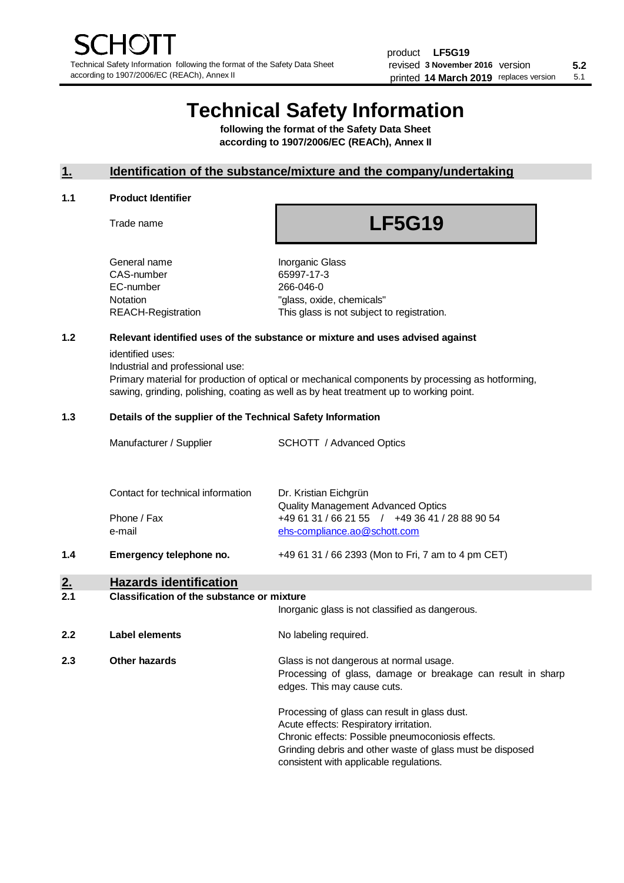# **Technical Safety Information**

**following the format of the Safety Data Sheet according to 1907/2006/EC (REACh), Annex II**

# **1. Identification of the substance/mixture and the company/undertaking**

### **1.1 Product Identifier**

Trade name

# **LF5G19**

| General name       |
|--------------------|
| CAS-number         |
| EC-number          |
| Notation           |
| REACH-Registration |
|                    |

**Inorganic Glass** 65997-17-3 266-046-0 "glass, oxide, chemicals" This glass is not subject to registration.

# **1.2 Relevant identified uses of the substance or mixture and uses advised against**

identified uses:

Industrial and professional use:

Primary material for production of optical or mechanical components by processing as hotforming, sawing, grinding, polishing, coating as well as by heat treatment up to working point.

### **1.3 Details of the supplier of the Technical Safety Information**

| ◠   | Hazarde idantification            |                                                                                |
|-----|-----------------------------------|--------------------------------------------------------------------------------|
| 1.4 | Emergency telephone no.           | +49 61 31 / 66 2393 (Mon to Fri, 7 am to 4 pm CET)                             |
|     | Phone / Fax<br>e-mail             | +49 61 31 / 66 21 55 / +49 36 41 / 28 88 90 54<br>ehs-compliance.ao@schott.com |
|     | Contact for technical information | Dr. Kristian Eichgrün<br><b>Quality Management Advanced Optics</b>             |
|     | Manufacturer / Supplier           | <b>SCHOTT</b> / Advanced Optics                                                |

#### **2. Hazards identification 2.1 Classification of the substance or mixture**

|     |                | Inorganic glass is not classified as dangerous.                                                                                                                                                                                                      |
|-----|----------------|------------------------------------------------------------------------------------------------------------------------------------------------------------------------------------------------------------------------------------------------------|
| 2.2 | Label elements | No labeling required.                                                                                                                                                                                                                                |
| 2.3 | Other hazards  | Glass is not dangerous at normal usage.<br>Processing of glass, damage or breakage can result in sharp<br>edges. This may cause cuts.                                                                                                                |
|     |                | Processing of glass can result in glass dust.<br>Acute effects: Respiratory irritation.<br>Chronic effects: Possible pneumoconiosis effects.<br>Grinding debris and other waste of glass must be disposed<br>consistent with applicable regulations. |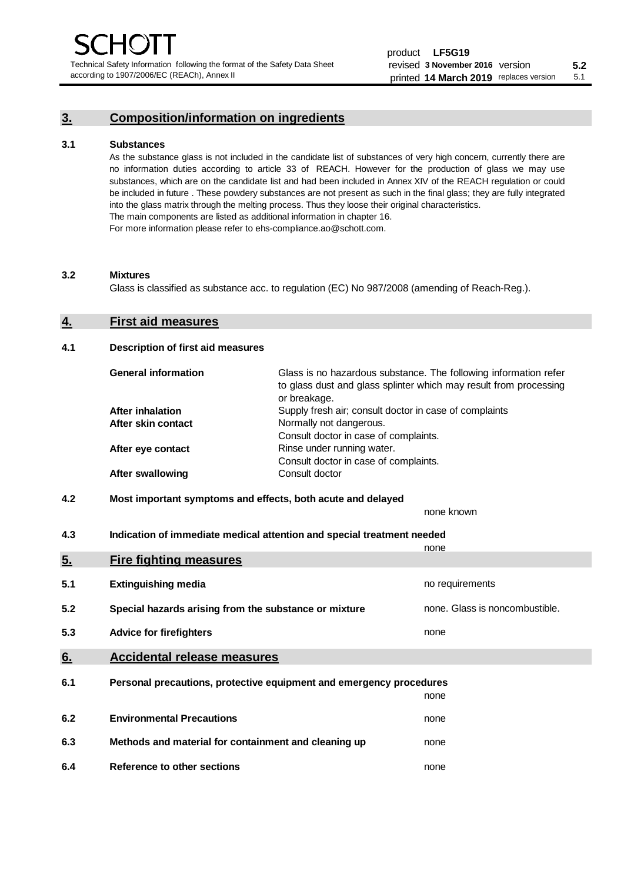Technical Safety Information following the format of the Safety Data Sheet according to 1907/2006/EC (REACh), Annex II

# **3. Composition/information on ingredients**

## **3.1 Substances**

As the substance glass is not included in the candidate list of substances of very high concern, currently there are no information duties according to article 33 of REACH. However for the production of glass we may use substances, which are on the candidate list and had been included in Annex XIV of the REACH regulation or could be included in future . These powdery substances are not present as such in the final glass; they are fully integrated into the glass matrix through the melting process. Thus they loose their original characteristics. The main components are listed as additional information in chapter 16. For more information please refer to ehs-compliance.ao@schott.com.

#### **3.2 Mixtures**

Glass is classified as substance acc. to regulation (EC) No 987/2008 (amending of Reach-Reg.).

# **4. First aid measures**

## **4.1 Description of first aid measures**

| <b>General information</b> | Glass is no hazardous substance. The following information refer<br>to glass dust and glass splinter which may result from processing<br>or breakage. |
|----------------------------|-------------------------------------------------------------------------------------------------------------------------------------------------------|
| <b>After inhalation</b>    | Supply fresh air; consult doctor in case of complaints                                                                                                |
| After skin contact         | Normally not dangerous.                                                                                                                               |
|                            | Consult doctor in case of complaints.                                                                                                                 |
| After eye contact          | Rinse under running water.                                                                                                                            |
|                            | Consult doctor in case of complaints.                                                                                                                 |
| <b>After swallowing</b>    | Consult doctor                                                                                                                                        |

# **4.2 Most important symptoms and effects, both acute and delayed**

none known **4.3 Indication of immediate medical attention and special treatment needed** 

|     |                                                                     | none                           |
|-----|---------------------------------------------------------------------|--------------------------------|
| 5.  | <b>Fire fighting measures</b>                                       |                                |
| 5.1 | <b>Extinguishing media</b>                                          | no requirements                |
| 5.2 | Special hazards arising from the substance or mixture               | none. Glass is noncombustible. |
| 5.3 | <b>Advice for firefighters</b>                                      | none                           |
| 6.  | <b>Accidental release measures</b>                                  |                                |
| 6.1 | Personal precautions, protective equipment and emergency procedures |                                |
|     |                                                                     | none                           |
| 6.2 | <b>Environmental Precautions</b>                                    | none                           |
| 6.3 | Methods and material for containment and cleaning up                | none                           |
| 6.4 | Reference to other sections                                         | none                           |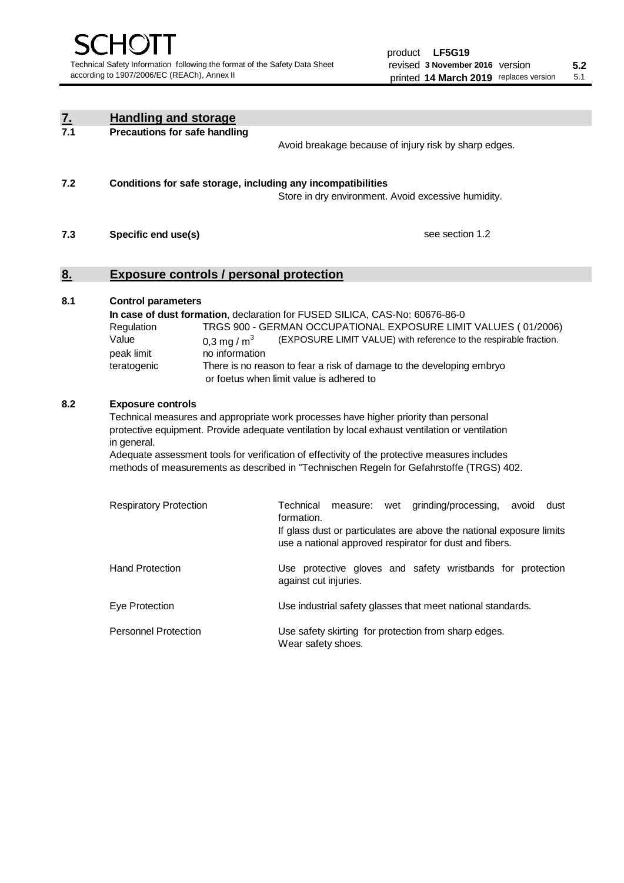| $\underline{\mathbf{7}}$ . | <b>Handling and storage</b>                                                                                      |                                                                                               |  |  |  |  |
|----------------------------|------------------------------------------------------------------------------------------------------------------|-----------------------------------------------------------------------------------------------|--|--|--|--|
| 7.1                        | <b>Precautions for safe handling</b>                                                                             |                                                                                               |  |  |  |  |
|                            |                                                                                                                  | Avoid breakage because of injury risk by sharp edges.                                         |  |  |  |  |
|                            |                                                                                                                  |                                                                                               |  |  |  |  |
| 7.2                        | Conditions for safe storage, including any incompatibilities                                                     |                                                                                               |  |  |  |  |
|                            |                                                                                                                  | Store in dry environment. Avoid excessive humidity.                                           |  |  |  |  |
|                            |                                                                                                                  |                                                                                               |  |  |  |  |
| 7.3                        | Specific end use(s)                                                                                              | see section 1.2                                                                               |  |  |  |  |
|                            |                                                                                                                  |                                                                                               |  |  |  |  |
|                            |                                                                                                                  |                                                                                               |  |  |  |  |
| 8.                         | <b>Exposure controls / personal protection</b>                                                                   |                                                                                               |  |  |  |  |
| 8.1                        | <b>Control parameters</b>                                                                                        |                                                                                               |  |  |  |  |
|                            |                                                                                                                  | In case of dust formation, declaration for FUSED SILICA, CAS-No: 60676-86-0                   |  |  |  |  |
|                            | Regulation                                                                                                       | TRGS 900 - GERMAN OCCUPATIONAL EXPOSURE LIMIT VALUES (01/2006)                                |  |  |  |  |
|                            | Value<br>0,3 mg / $m3$                                                                                           | (EXPOSURE LIMIT VALUE) with reference to the respirable fraction.                             |  |  |  |  |
|                            | no information<br>peak limit                                                                                     |                                                                                               |  |  |  |  |
|                            | teratogenic                                                                                                      | There is no reason to fear a risk of damage to the developing embryo                          |  |  |  |  |
|                            |                                                                                                                  | or foetus when limit value is adhered to                                                      |  |  |  |  |
| 8.2                        |                                                                                                                  |                                                                                               |  |  |  |  |
|                            | <b>Exposure controls</b><br>Technical measures and appropriate work processes have higher priority than personal |                                                                                               |  |  |  |  |
|                            | protective equipment. Provide adequate ventilation by local exhaust ventilation or ventilation                   |                                                                                               |  |  |  |  |
|                            | in general.                                                                                                      |                                                                                               |  |  |  |  |
|                            |                                                                                                                  | Adequate assessment tools for verification of effectivity of the protective measures includes |  |  |  |  |
|                            |                                                                                                                  | methods of measurements as described in "Technischen Regeln for Gefahrstoffe (TRGS) 402.      |  |  |  |  |
|                            |                                                                                                                  |                                                                                               |  |  |  |  |
|                            | <b>Respiratory Protection</b>                                                                                    | Technical<br>grinding/processing,<br>measure: wet<br>avoid<br>dust                            |  |  |  |  |
|                            |                                                                                                                  | formation.                                                                                    |  |  |  |  |
|                            |                                                                                                                  | If glass dust or particulates are above the national exposure limits                          |  |  |  |  |
|                            |                                                                                                                  | use a national approved respirator for dust and fibers.                                       |  |  |  |  |
|                            | <b>Hand Protection</b>                                                                                           | Use protective gloves and safety wristbands for protection                                    |  |  |  |  |
|                            |                                                                                                                  | against cut injuries.                                                                         |  |  |  |  |
|                            |                                                                                                                  |                                                                                               |  |  |  |  |
|                            | Eye Protection                                                                                                   | Use industrial safety glasses that meet national standards.                                   |  |  |  |  |
|                            | <b>Personnel Protection</b>                                                                                      | Use safety skirting for protection from sharp edges.                                          |  |  |  |  |
|                            |                                                                                                                  | Wear safety shoes.                                                                            |  |  |  |  |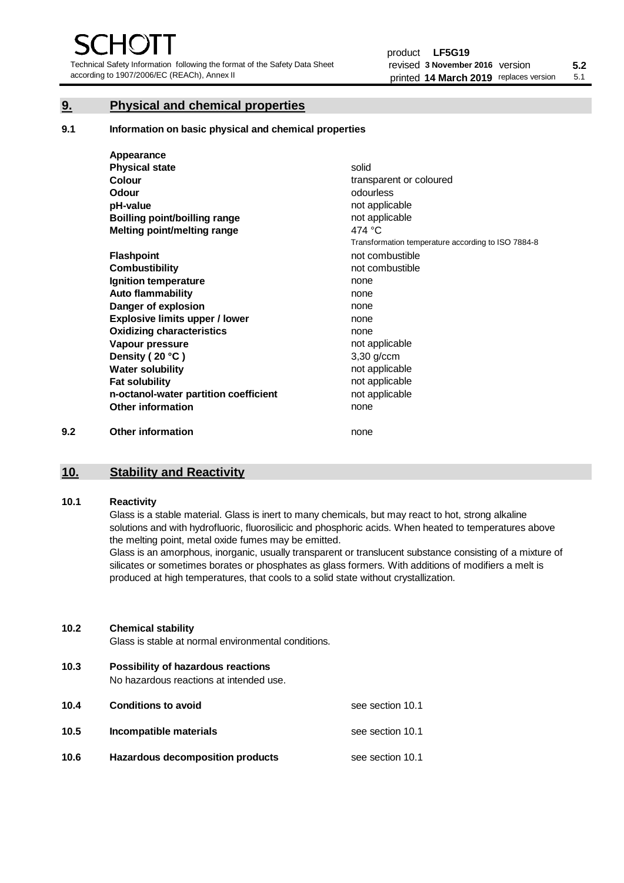Technical Safety Information following the format of the Safety Data Sheet according to 1907/2006/EC (REACh), Annex II

# **9. Physical and chemical properties**

**9.1 Information on basic physical and chemical properties**

|     | Appearance                            |                                                    |
|-----|---------------------------------------|----------------------------------------------------|
|     | <b>Physical state</b>                 | solid                                              |
|     | Colour                                | transparent or coloured                            |
|     | <b>Odour</b>                          | odourless                                          |
|     | pH-value                              | not applicable                                     |
|     | <b>Boilling point/boilling range</b>  | not applicable                                     |
|     | Melting point/melting range           | 474 °C                                             |
|     |                                       | Transformation temperature according to ISO 7884-8 |
|     | <b>Flashpoint</b>                     | not combustible                                    |
|     | <b>Combustibility</b>                 | not combustible                                    |
|     | Ignition temperature                  | none                                               |
|     | <b>Auto flammability</b>              | none                                               |
|     | Danger of explosion                   | none                                               |
|     | <b>Explosive limits upper / lower</b> | none                                               |
|     | <b>Oxidizing characteristics</b>      | none                                               |
|     | Vapour pressure                       | not applicable                                     |
|     | Density (20 °C)                       | 3,30 g/ccm                                         |
|     | <b>Water solubility</b>               | not applicable                                     |
|     | <b>Fat solubility</b>                 | not applicable                                     |
|     | n-octanol-water partition coefficient | not applicable                                     |
|     | <b>Other information</b>              | none                                               |
| 9.2 | <b>Other information</b>              | none                                               |

# **10. Stability and Reactivity**

# **10.1 Reactivity**

Glass is a stable material. Glass is inert to many chemicals, but may react to hot, strong alkaline solutions and with hydrofluoric, fluorosilicic and phosphoric acids. When heated to temperatures above the melting point, metal oxide fumes may be emitted.

Glass is an amorphous, inorganic, usually transparent or translucent substance consisting of a mixture of silicates or sometimes borates or phosphates as glass formers. With additions of modifiers a melt is produced at high temperatures, that cools to a solid state without crystallization.

# **10.2 Chemical stability**

Glass is stable at normal environmental conditions.

**10.3 Possibility of hazardous reactions** 

No hazardous reactions at intended use.

| 10.4 | <b>Conditions to avoid</b>       | see section 10.1 |
|------|----------------------------------|------------------|
| 10.5 | Incompatible materials           | see section 10.1 |
| 10.6 | Hazardous decomposition products | see section 10.1 |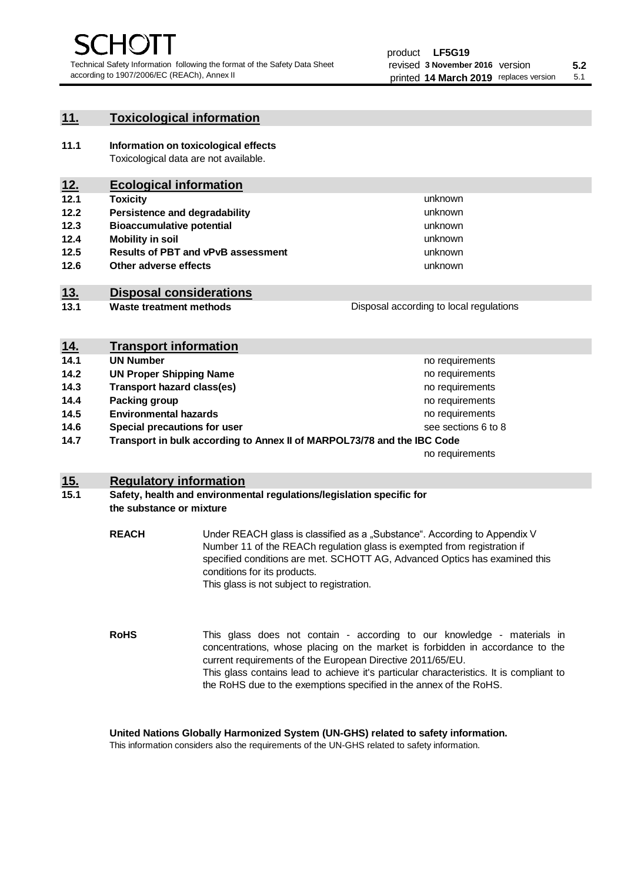unknown unknown unknown

unknown unknown unknown

Disposal according to local regulations

# **11. Toxicological information**

**11.1 Information on toxicological effects** Toxicological data are not available.

# **12. Ecological information**

- **12.1 Toxicity**
- **12.2 Persistence and degradability**
- **12.3 Bioaccumulative potential**
- **12.4 Mobility in soil**
- **12.5 Results of PBT and vPvB assessment**
- **12.6 Other adverse effects**

# **13. Disposal considerations**

**13.1 Waste treatment methods**

|            | <b>Transport information</b>                                            |                     |
|------------|-------------------------------------------------------------------------|---------------------|
| <u>14.</u> |                                                                         |                     |
| 14.1       | <b>UN Number</b>                                                        | no requirements     |
| 14.2       | <b>UN Proper Shipping Name</b>                                          | no requirements     |
| 14.3       | <b>Transport hazard class(es)</b>                                       | no requirements     |
| 14.4       | Packing group                                                           | no requirements     |
| 14.5       | <b>Environmental hazards</b>                                            | no requirements     |
| 14.6       | Special precautions for user                                            | see sections 6 to 8 |
| 14.7       | Transport in bulk according to Annex II of MARPOL73/78 and the IBC Code |                     |
|            |                                                                         | no requirements     |

# **15. Regulatory information**

# **15.1 Safety, health and environmental regulations/legislation specific for the substance or mixture**

**REACH** Under REACH glass is classified as a "Substance". According to Appendix V Number 11 of the REACh regulation glass is exempted from registration if specified conditions are met. SCHOTT AG, Advanced Optics has examined this conditions for its products. This glass is not subject to registration.

**RoHS** This glass does not contain - according to our knowledge - materials in concentrations, whose placing on the market is forbidden in accordance to the current requirements of the European Directive 2011/65/EU. This glass contains lead to achieve it's particular characteristics. It is compliant to the RoHS due to the exemptions specified in the annex of the RoHS.

**United Nations Globally Harmonized System (UN-GHS) related to safety information.**

This information considers also the requirements of the UN-GHS related to safety information.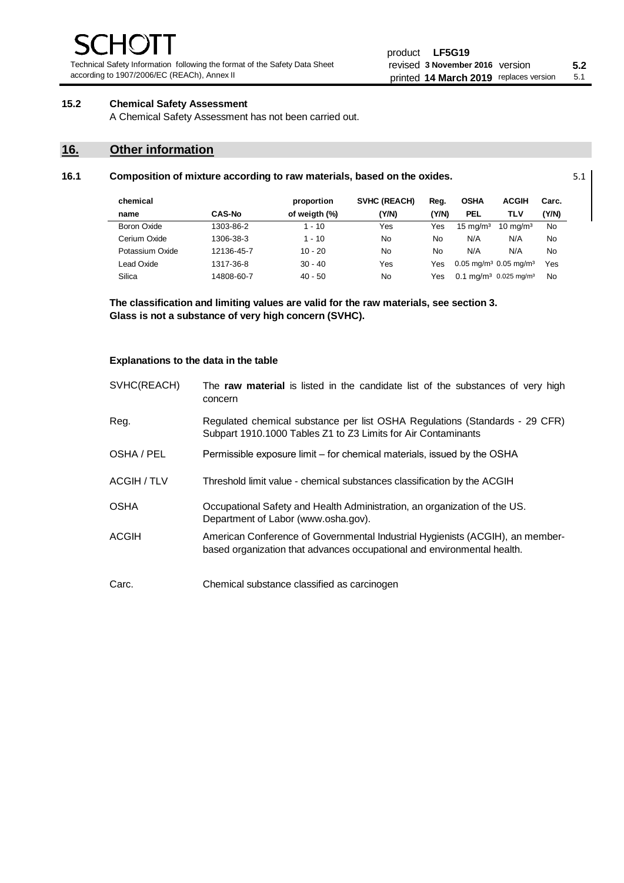Technical Safety Information following the format of the Safety Data Sheet according to 1907/2006/EC (REACh), Annex II

# **15.2 Chemical Safety Assessment**

A Chemical Safety Assessment has not been carried out.

# **16. Other information**

| chemical        |               | proportion    | SVHC (REACH) | Reg.  | <b>OSHA</b>         | <b>ACGIH</b>                                 | Carc. |
|-----------------|---------------|---------------|--------------|-------|---------------------|----------------------------------------------|-------|
| name            | <b>CAS-No</b> | of weigth (%) | (Y/N)        | (Y/N) | PEL                 | TLV                                          | (Y/N) |
| Boron Oxide     | 1303-86-2     | $1 - 10$      | Yes          | Yes   | $15 \text{ mg/m}^3$ | $10 \text{ mg/m}^3$                          | No.   |
| Cerium Oxide    | 1306-38-3     | $1 - 10$      | No           | No    | N/A                 | N/A                                          | No    |
| Potassium Oxide | 12136-45-7    | $10 - 20$     | No           | No    | N/A                 | N/A                                          | No    |
| Lead Oxide      | 1317-36-8     | $30 - 40$     | Yes          | Yes   |                     | $0.05 \text{ mg/m}^3$ 0.05 mg/m <sup>3</sup> | Yes   |
| Silica          | 14808-60-7    | $40 - 50$     | No           | Yes   |                     | $0.1 \text{ ma/m}^3$ 0.025 mg/m <sup>3</sup> | No    |

**16.1 Composition of mixture according to raw materials, based on the oxides.** 5.1

**The classification and limiting values are valid for the raw materials, see section 3. Glass is not a substance of very high concern (SVHC).**

### **Explanations to the data in the table**

| SVHC(REACH) | The raw material is listed in the candidate list of the substances of very high<br>concern                                                               |
|-------------|----------------------------------------------------------------------------------------------------------------------------------------------------------|
| Reg.        | Regulated chemical substance per list OSHA Regulations (Standards - 29 CFR)<br>Subpart 1910.1000 Tables Z1 to Z3 Limits for Air Contaminants             |
| OSHA / PEL  | Permissible exposure limit – for chemical materials, issued by the OSHA                                                                                  |
| ACGIH / TLV | Threshold limit value - chemical substances classification by the ACGIH                                                                                  |
| <b>OSHA</b> | Occupational Safety and Health Administration, an organization of the US.<br>Department of Labor (www.osha.gov).                                         |
| ACGIH       | American Conference of Governmental Industrial Hygienists (ACGIH), an member-<br>based organization that advances occupational and environmental health. |
| Carc.       | Chemical substance classified as carcinogen                                                                                                              |